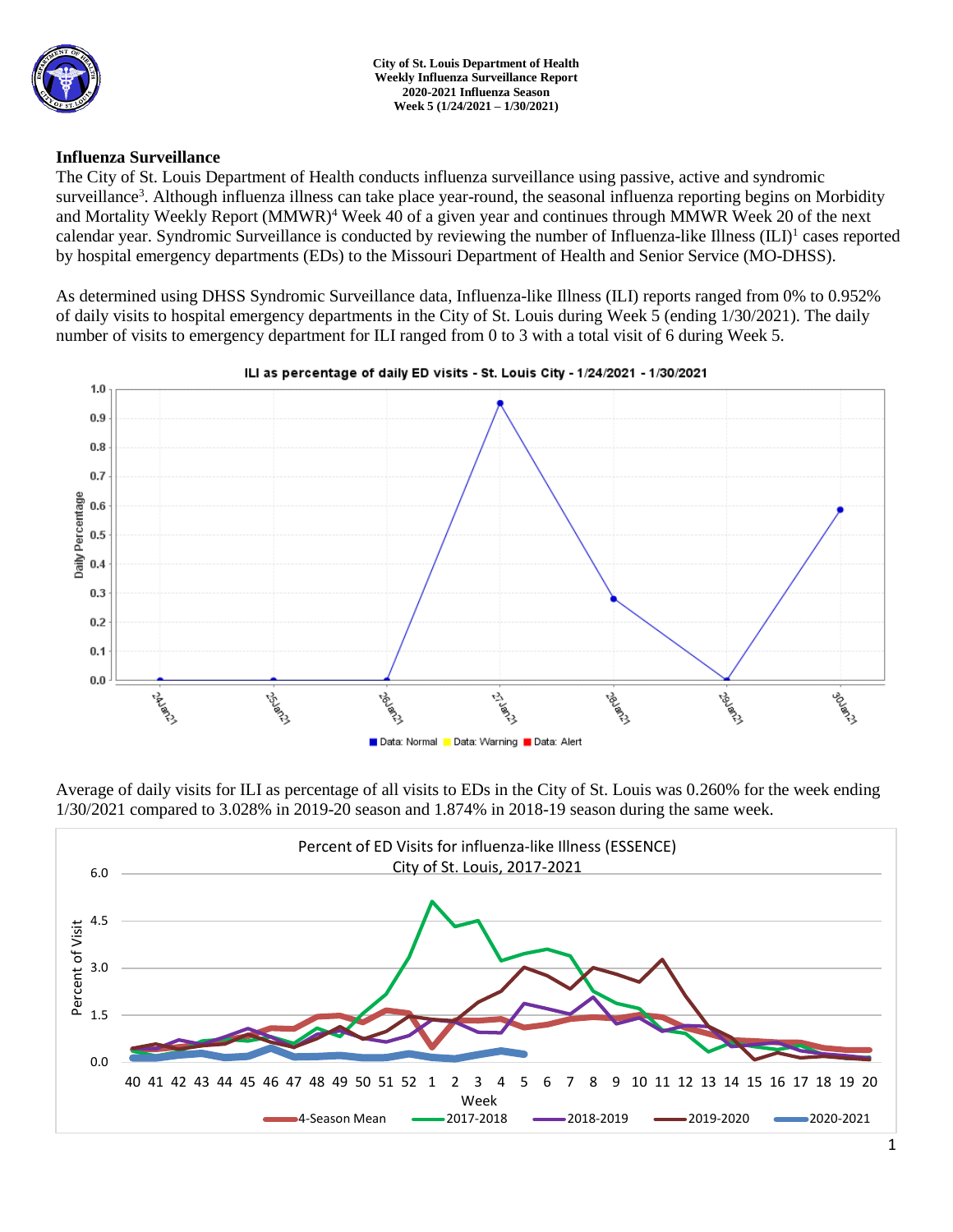

### **Influenza Surveillance**

The City of St. Louis Department of Health conducts influenza surveillance using passive, active and syndromic surveillance<sup>3</sup>. Although influenza illness can take place year-round, the seasonal influenza reporting begins on Morbidity and Mortality Weekly Report (MMWR)<sup>4</sup> Week 40 of a given year and continues through MMWR Week 20 of the next calendar year. Syndromic Surveillance is conducted by reviewing the number of Influenza-like Illness (ILI)<sup>1</sup> cases reported by hospital emergency departments (EDs) to the Missouri Department of Health and Senior Service (MO-DHSS).

As determined using DHSS Syndromic Surveillance data, Influenza-like Illness (ILI) reports ranged from 0% to 0.952% of daily visits to hospital emergency departments in the City of St. Louis during Week 5 (ending 1/30/2021). The daily number of visits to emergency department for ILI ranged from 0 to 3 with a total visit of 6 during Week 5.



ILI as percentage of daily ED visits - St. Louis City - 1/24/2021 - 1/30/2021

Average of daily visits for ILI as percentage of all visits to EDs in the City of St. Louis was 0.260% for the week ending 1/30/2021 compared to 3.028% in 2019-20 season and 1.874% in 2018-19 season during the same week.

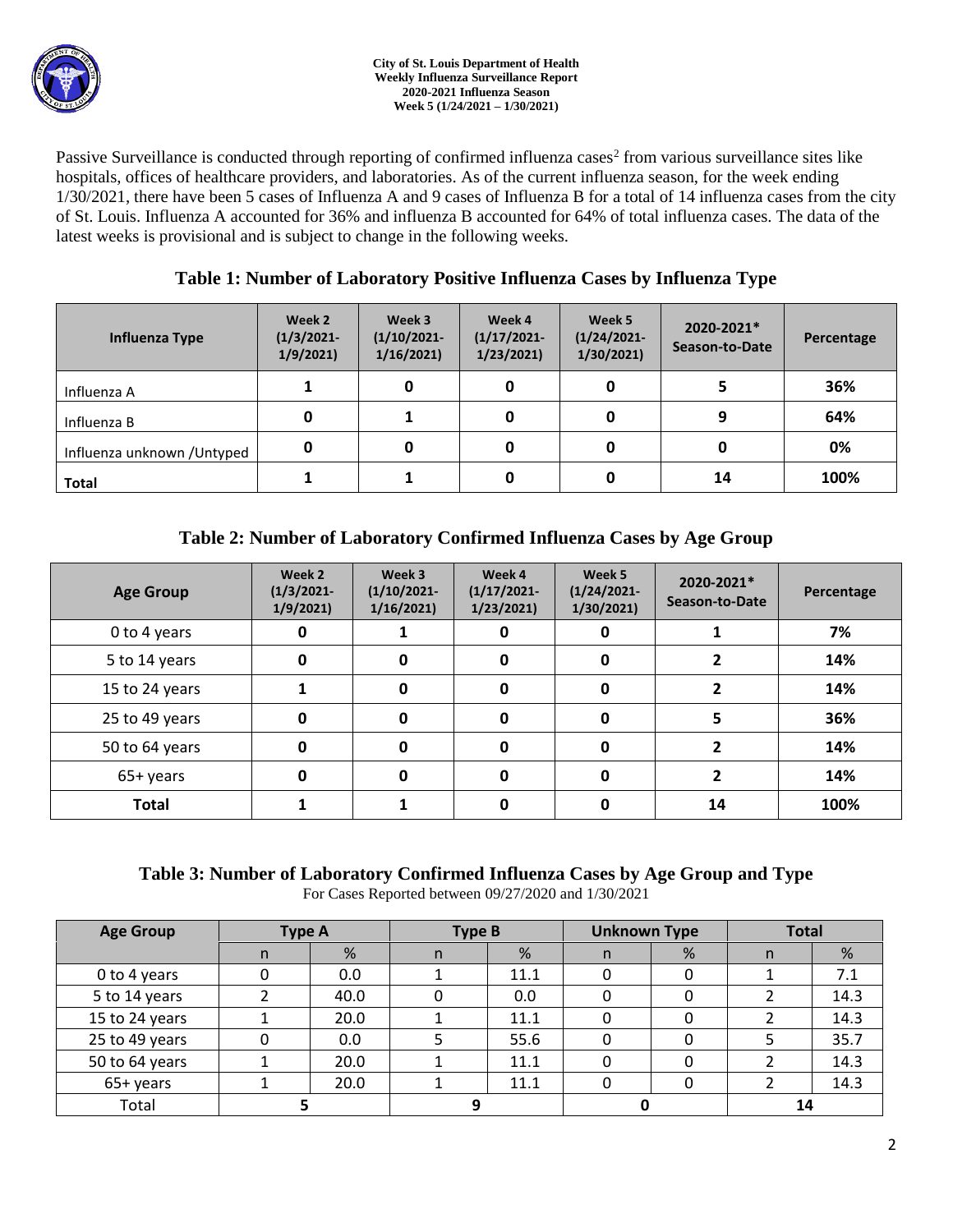Passive Surveillance is conducted through reporting of confirmed influenza cases<sup>2</sup> from various surveillance sites like hospitals, offices of healthcare providers, and laboratories. As of the current influenza season, for the week ending 1/30/2021, there have been 5 cases of Influenza A and 9 cases of Influenza B for a total of 14 influenza cases from the city of St. Louis. Influenza A accounted for 36% and influenza B accounted for 64% of total influenza cases. The data of the latest weeks is provisional and is subject to change in the following weeks.

# **Table 1: Number of Laboratory Positive Influenza Cases by Influenza Type**

| Influenza Type              | Week 2<br>$(1/3/2021 -$<br>1/9/2021 | Week 3<br>$(1/10/2021 -$<br>1/16/2021 | Week 4<br>$(1/17/2021 -$<br>1/23/2021 | Week 5<br>$(1/24/2021 -$<br>1/30/2021 | 2020-2021*<br>Season-to-Date | Percentage |
|-----------------------------|-------------------------------------|---------------------------------------|---------------------------------------|---------------------------------------|------------------------------|------------|
| Influenza A                 |                                     |                                       | 0                                     |                                       |                              | 36%        |
| Influenza B                 | 0                                   |                                       | 0                                     |                                       | 9                            | 64%        |
| Influenza unknown / Untyped | 0                                   |                                       | 0                                     |                                       |                              | 0%         |
| <b>Total</b>                |                                     |                                       | 0                                     |                                       | 14                           | 100%       |

# **Table 2: Number of Laboratory Confirmed Influenza Cases by Age Group**

| <b>Age Group</b> | Week 2<br>$(1/3/2021 -$<br>1/9/2021 | Week 3<br>$(1/10/2021 -$<br>1/16/2021 | Week 4<br>$(1/17/2021 -$<br>1/23/2021 | Week 5<br>$(1/24/2021 -$<br>1/30/2021 | 2020-2021*<br>Season-to-Date | Percentage |
|------------------|-------------------------------------|---------------------------------------|---------------------------------------|---------------------------------------|------------------------------|------------|
| 0 to 4 years     | 0                                   | 0<br>0                                |                                       | 7%                                    |                              |            |
| 5 to 14 years    | 0                                   | $\mathbf{0}$                          | 0                                     | 0                                     | 2                            | 14%        |
| 15 to 24 years   |                                     | 0                                     | 0                                     | 0                                     | 2                            | 14%        |
| 25 to 49 years   | 0                                   | $\Omega$                              | 0                                     | 0                                     | 5                            | 36%        |
| 50 to 64 years   | 0                                   | 0                                     | $\Omega$                              | 0                                     | 2                            | 14%        |
| 65+ years        | 0                                   | 0                                     | 0                                     | 0                                     |                              | 14%        |
| <b>Total</b>     |                                     |                                       |                                       | 0                                     | 14                           | 100%       |

# **Table 3: Number of Laboratory Confirmed Influenza Cases by Age Group and Type**

For Cases Reported between 09/27/2020 and 1/30/2021

| <b>Age Group</b> | <b>Type A</b> |      | <b>Type B</b> |      | <b>Unknown Type</b> |   | <b>Total</b> |      |
|------------------|---------------|------|---------------|------|---------------------|---|--------------|------|
|                  | n             | %    | n             | %    | n                   | % | n            | %    |
| 0 to 4 years     |               | 0.0  |               | 11.1 | 0                   |   |              | 7.1  |
| 5 to 14 years    |               | 40.0 |               | 0.0  |                     |   |              | 14.3 |
| 15 to 24 years   |               | 20.0 |               | 11.1 |                     |   |              | 14.3 |
| 25 to 49 years   |               | 0.0  |               | 55.6 |                     |   |              | 35.7 |
| 50 to 64 years   |               | 20.0 |               | 11.1 | 0                   |   |              | 14.3 |
| 65+ years        |               | 20.0 |               | 11.1 | 0                   |   |              | 14.3 |
| Total            |               |      | C)            |      |                     |   | 14           |      |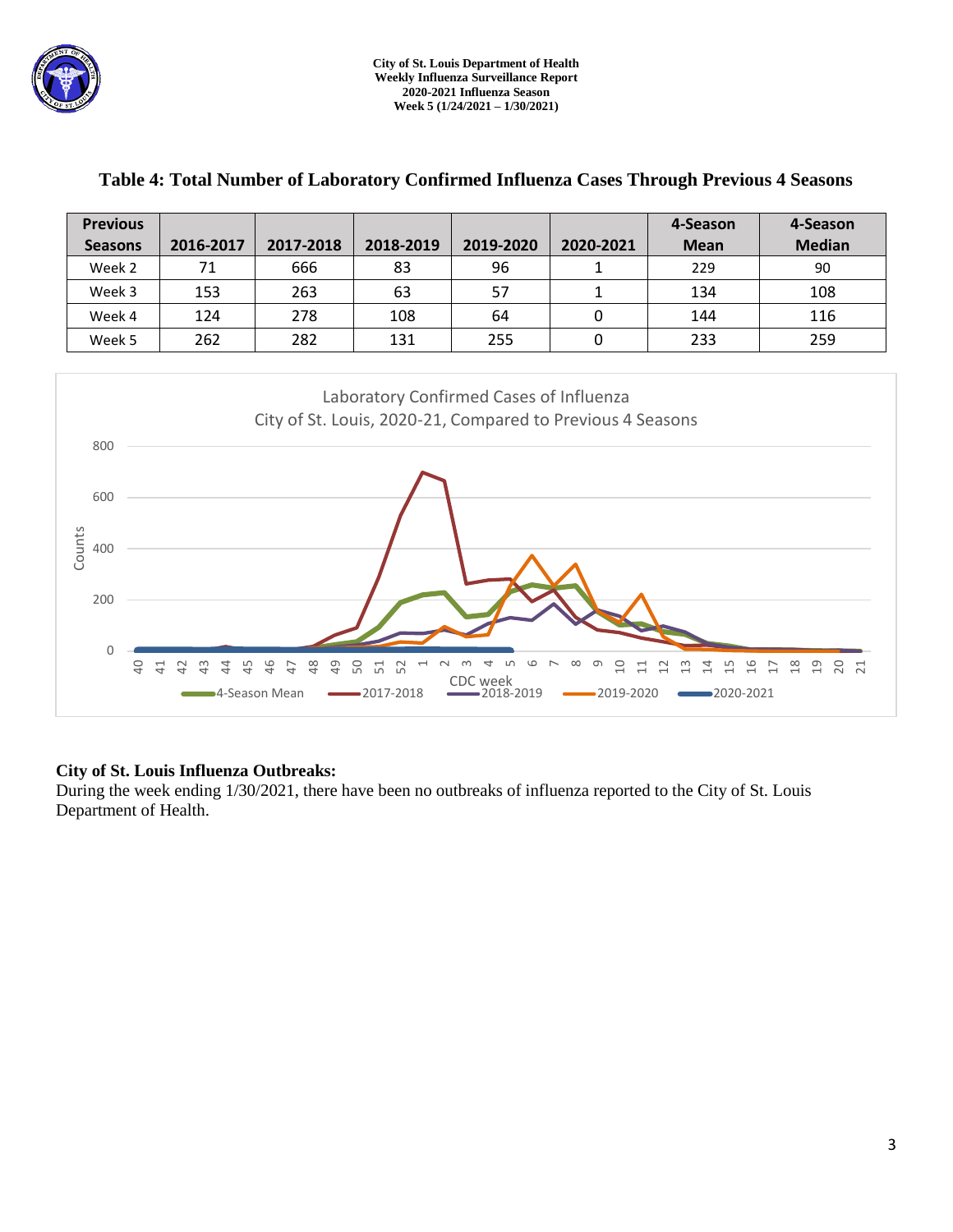

| <b>Previous</b><br><b>Seasons</b>                                   | 2016-2017                                                                                             | 2017-2018                        | 2018-2019                                                              | 2019-2020                       | 2020-2021                       | 4-Season<br><b>Mean</b>                                                   | 4-Season<br><b>Median</b>                        |  |  |  |  |
|---------------------------------------------------------------------|-------------------------------------------------------------------------------------------------------|----------------------------------|------------------------------------------------------------------------|---------------------------------|---------------------------------|---------------------------------------------------------------------------|--------------------------------------------------|--|--|--|--|
| Week 2                                                              | 71                                                                                                    | 666                              | 83                                                                     | 96                              | $\mathbf{1}$                    | 229                                                                       | 90                                               |  |  |  |  |
| Week 3                                                              | 153                                                                                                   | 263                              | 63                                                                     | 57                              | $\mathbf{1}$                    | 134                                                                       | 108                                              |  |  |  |  |
| Week 4                                                              | 124                                                                                                   | 278                              | 108                                                                    | 64                              | 0                               | 144                                                                       | 116                                              |  |  |  |  |
| Week 5                                                              | 262                                                                                                   | 282                              | 131                                                                    | 255                             | $\pmb{0}$                       | 233                                                                       | 259                                              |  |  |  |  |
| 800<br>600<br>Counts<br>400<br>200<br>$\mathbf 0$<br>$\overline{a}$ | Laboratory Confirmed Cases of Influenza<br>City of St. Louis, 2020-21, Compared to Previous 4 Seasons |                                  |                                                                        |                                 |                                 |                                                                           |                                                  |  |  |  |  |
|                                                                     | 41<br>42<br>$\frac{1}{2}$<br>4<br>$\frac{1}{2}$<br><b>→</b> 4-Season Mean                             | 48<br>46<br>$\overline{6}$<br>47 | 50<br>$\overline{\phantom{0}}$<br>51<br>52<br>$\sim$<br>$-2017 - 2018$ | ₹<br>CDC week<br>$-2018 - 2019$ | 음<br>ന<br>$\Xi$<br>$-2019-2020$ | $\frac{5}{1}$<br>$\frac{6}{1}$<br>$\approx$<br>$\frac{2}{1}$<br>2020-2021 | 19<br>$\frac{8}{18}$<br>20 21<br>$\overline{17}$ |  |  |  |  |

## **Table 4: Total Number of Laboratory Confirmed Influenza Cases Through Previous 4 Seasons**

## **City of St. Louis Influenza Outbreaks:**

During the week ending 1/30/2021, there have been no outbreaks of influenza reported to the City of St. Louis Department of Health.